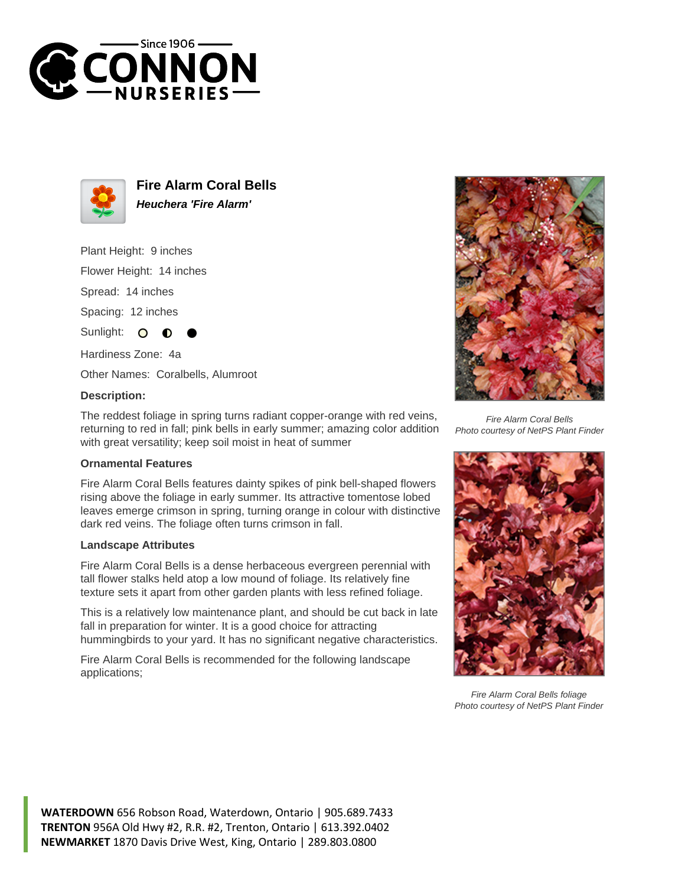



**Fire Alarm Coral Bells Heuchera 'Fire Alarm'**

Plant Height: 9 inches

Flower Height: 14 inches

Spread: 14 inches

Spacing: 12 inches

Sunlight:  $\circ$ 

Hardiness Zone: 4a

Other Names: Coralbells, Alumroot

## **Description:**

The reddest foliage in spring turns radiant copper-orange with red veins, returning to red in fall; pink bells in early summer; amazing color addition with great versatility; keep soil moist in heat of summer

## **Ornamental Features**

Fire Alarm Coral Bells features dainty spikes of pink bell-shaped flowers rising above the foliage in early summer. Its attractive tomentose lobed leaves emerge crimson in spring, turning orange in colour with distinctive dark red veins. The foliage often turns crimson in fall.

## **Landscape Attributes**

Fire Alarm Coral Bells is a dense herbaceous evergreen perennial with tall flower stalks held atop a low mound of foliage. Its relatively fine texture sets it apart from other garden plants with less refined foliage.

This is a relatively low maintenance plant, and should be cut back in late fall in preparation for winter. It is a good choice for attracting hummingbirds to your yard. It has no significant negative characteristics.

Fire Alarm Coral Bells is recommended for the following landscape applications;



Fire Alarm Coral Bells Photo courtesy of NetPS Plant Finder



Fire Alarm Coral Bells foliage Photo courtesy of NetPS Plant Finder

**WATERDOWN** 656 Robson Road, Waterdown, Ontario | 905.689.7433 **TRENTON** 956A Old Hwy #2, R.R. #2, Trenton, Ontario | 613.392.0402 **NEWMARKET** 1870 Davis Drive West, King, Ontario | 289.803.0800